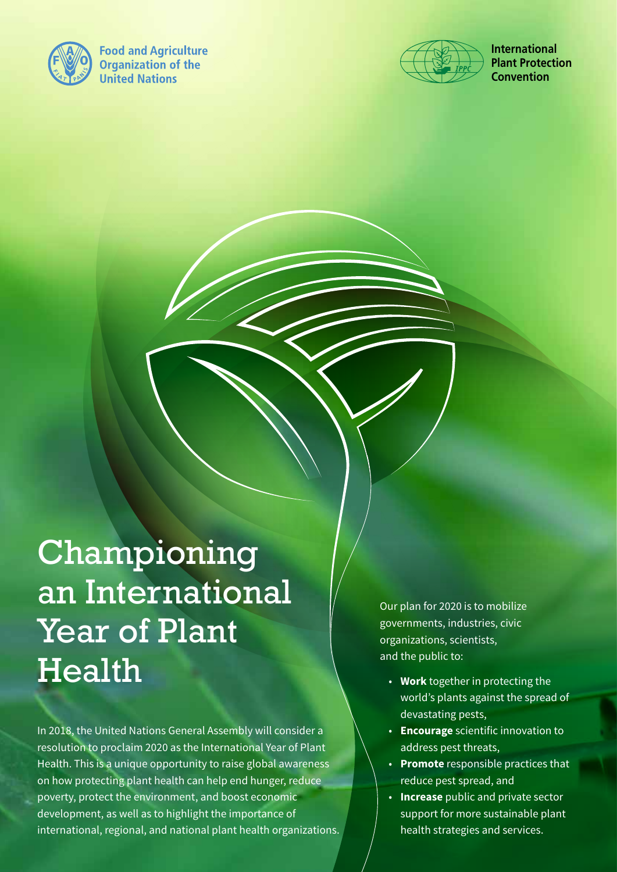

**Food and Agriculture Organization of the United Nations** 



**International Plant Protection Convention**

# Championing an International Year of Plant Health

In 2018, the United Nations General Assembly will consider a resolution to proclaim 2020 as the International Year of Plant Health. This is a unique opportunity to raise global awareness on how protecting plant health can help end hunger, reduce poverty, protect the environment, and boost economic development, as well as to highlight the importance of international, regional, and national plant health organizations. Our plan for 2020 is to mobilize governments, industries, civic organizations, scientists, and the public to:

- **Work** together in protecting the world's plants against the spread of devastating pests,
- **Encourage** scientific innovation to address pest threats,
- **Promote** responsible practices that reduce pest spread, and
- **Increase** public and private sector support for more sustainable plant health strategies and services.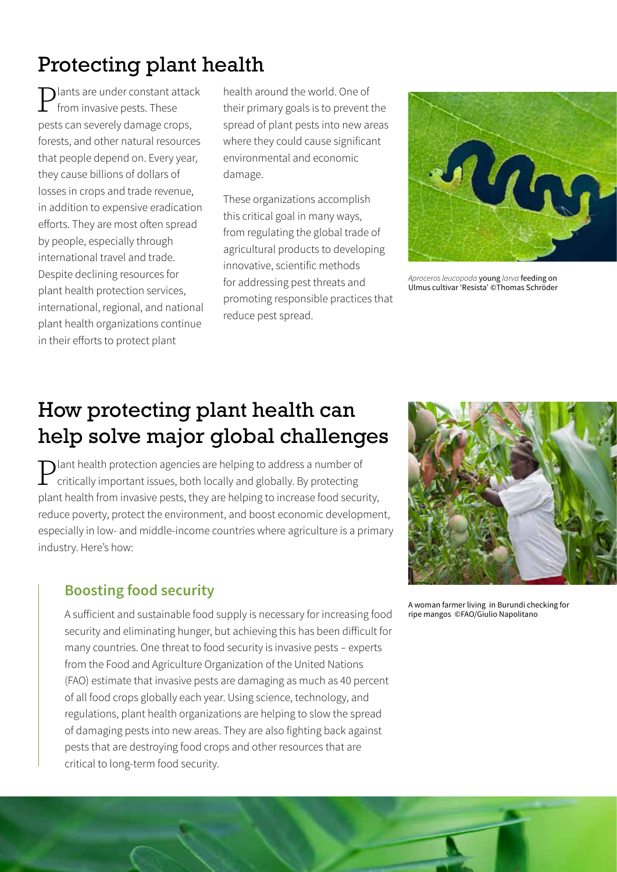# Protecting plant health

 $\sum$ lants are under constant attack from invasive pests. These pests can severely damage crops, forests, and other natural resources that people depend on. Every year, they cause billions of dollars of losses in crops and trade revenue, in addition to expensive eradication efforts. They are most often spread by people, especially through international travel and trade. Despite declining resources for plant health protection services, international, regional, and national plant health organizations continue in their efforts to protect plant

health around the world. One of their primary goals is to prevent the spread of plant pests into new areas where they could cause significant environmental and economic damage.

These organizations accomplish this critical goal in many ways, from regulating the global trade of agricultural products to developing innovative, scientific methods for addressing pest threats and promoting responsible practices that reduce pest spread.



*Aproceros leucopoda* young *larva* feeding on Ulmus cultivar 'Resista' ©Thomas Schröder

## How protecting plant health can help solve major global challenges

**Plant health protection agencies are helping to address a number of critically important issues, both locally and globally. By protecting** plant health from invasive pests, they are helping to increase food security, reduce poverty, protect the environment, and boost economic development, especially in low- and middle-income countries where agriculture is a primary industry. Here's how:

### **Boosting food security**

A sufficient and sustainable food supply is necessary for increasing food security and eliminating hunger, but achieving this has been difficult for many countries. One threat to food security is invasive pests – experts from the Food and Agriculture Organization of the United Nations (FAO) estimate that invasive pests are damaging as much as 40 percent of all food crops globally each year. Using science, technology, and regulations, plant health organizations are helping to slow the spread of damaging pests into new areas. They are also fighting back against pests that are destroying food crops and other resources that are critical to long-term food security.



A woman farmer living in Burundi checking for ripe mangos ©FAO/Giulio Napolitano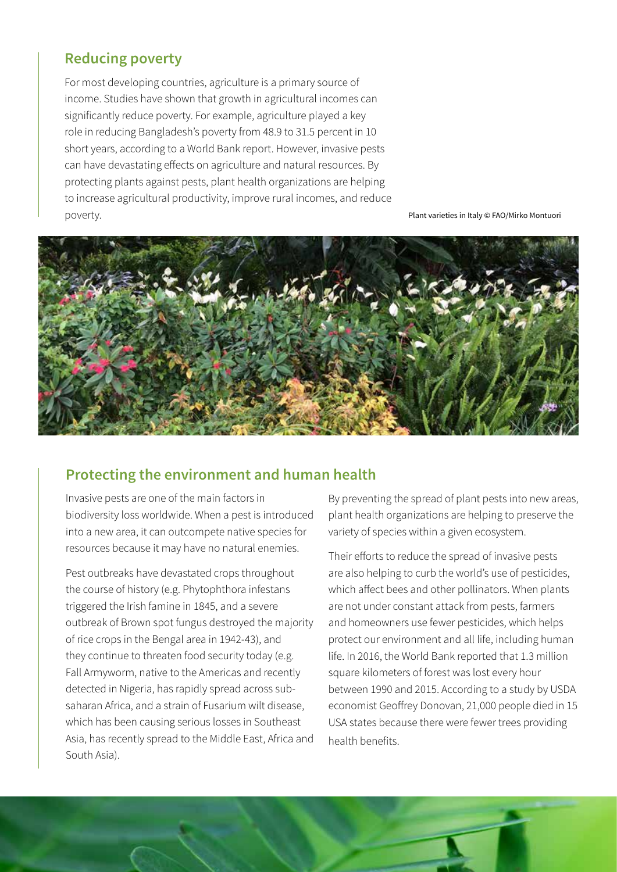#### **Reducing poverty**

For most developing countries, agriculture is a primary source of income. Studies have shown that growth in agricultural incomes can significantly reduce poverty. For example, agriculture played a key role in reducing Bangladesh's poverty from 48.9 to 31.5 percent in 10 short years, according to a World Bank report. However, invasive pests can have devastating effects on agriculture and natural resources. By protecting plants against pests, plant health organizations are helping to increase agricultural productivity, improve rural incomes, and reduce poverty. Plant varieties in Italy © FAO/Mirko Montuori



#### **Protecting the environment and human health**

Invasive pests are one of the main factors in biodiversity loss worldwide. When a pest is introduced into a new area, it can outcompete native species for resources because it may have no natural enemies.

Pest outbreaks have devastated crops throughout the course of history (e.g. Phytophthora infestans triggered the Irish famine in 1845, and a severe outbreak of Brown spot fungus destroyed the majority of rice crops in the Bengal area in 1942-43), and they continue to threaten food security today (e.g. Fall Armyworm, native to the Americas and recently detected in Nigeria, has rapidly spread across subsaharan Africa, and a strain of Fusarium wilt disease, which has been causing serious losses in Southeast Asia, has recently spread to the Middle East, Africa and South Asia).

By preventing the spread of plant pests into new areas, plant health organizations are helping to preserve the variety of species within a given ecosystem.

Their efforts to reduce the spread of invasive pests are also helping to curb the world's use of pesticides, which affect bees and other pollinators. When plants are not under constant attack from pests, farmers and homeowners use fewer pesticides, which helps protect our environment and all life, including human life. In 2016, the World Bank reported that 1.3 million square kilometers of forest was lost every hour between 1990 and 2015. According to a study by USDA economist Geoffrey Donovan, 21,000 people died in 15 USA states because there were fewer trees providing health benefits.